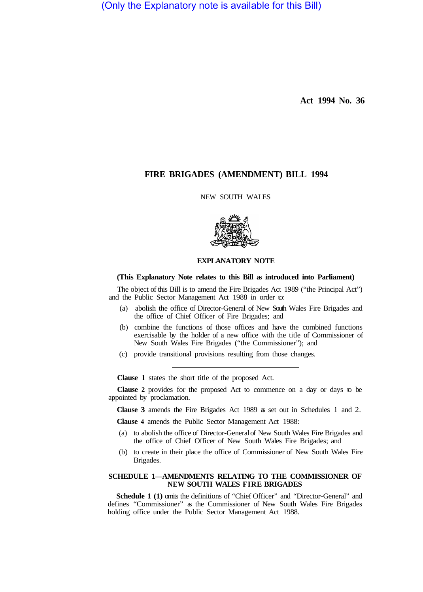(Only the Explanatory note is available for this Bill)

**Act 1994 No. 36** 

# **FIRE BRIGADES (AMENDMENT) BILL 1994**

NEW SOUTH WALES



# **EXPLANATORY NOTE**

#### **(This Explanatory Note relates to this Bill as introduced into Parliament)**

The object of this Bill is to amend the Fire Brigades Act 1989 ("the Principal Act") and the Public Sector Management Act 1988 in order to:

- (a) abolish the office of Director-General of New South Wales Fire Brigades and the office of Chief Officer of Fire Brigades; and
- (b) combine the functions of those offices and have the combined functions exercisable by the holder of a new office with the title of Commissioner of New South Wales Fire Brigades ("the Commissioner"); and
- (c) provide transitional provisions resulting from those changes.

**Clause 1** states the short title of the proposed Act.

**Clause 2** provides for the proposed Act to commence on a day or days to be appointed by proclamation.

**Clause 3** amends the Fire Brigades Act 1989 as set out in Schedules 1 and 2.

**Clause 4** amends the Public Sector Management Act 1988:

- (a) to abolish the office of Director-General of New South Wales Fire Brigades and the office of Chief Officer of New South Wales Fire Brigades; and
- (b) to create in their place the office of Commissioner of New South Wales Fire Brigades.

### **SCHEDULE 1—AMENDMENTS RELATING TO THE COMMISSIONER OF NEW SOUTH WALES FIRE BRIGADES**

**Schedule 1 (1)** omits the definitions of "Chief Officer" and "Director-General" and defines "Commissioner" as the Commissioner of New South Wales Fire Brigades holding office under the Public Sector Management Act 1988.